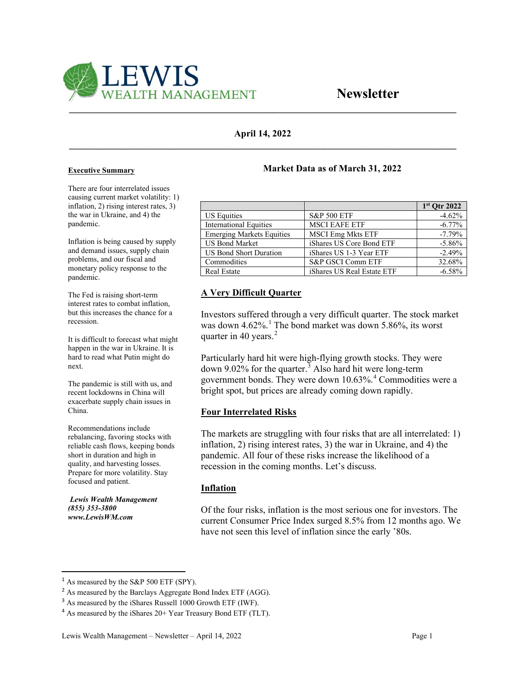

## **April 14, 2022 \_\_\_\_\_\_\_\_\_\_\_\_\_\_\_\_\_\_\_\_\_\_\_\_\_\_\_\_\_\_\_\_\_\_\_\_\_\_\_\_\_\_\_\_\_\_\_\_\_\_\_\_\_\_\_\_\_\_\_\_\_\_\_\_\_\_\_\_\_\_\_\_\_\_\_\_\_\_\_\_\_\_**

#### **Executive Summary**

There are four interrelated issues causing current market volatility: 1) inflation, 2) rising interest rates, 3) the war in Ukraine, and 4) the pandemic.

Inflation is being caused by supply and demand issues, supply chain problems, and our fiscal and monetary policy response to the pandemic.

The Fed is raising short-term interest rates to combat inflation, but this increases the chance for a recession.

It is difficult to forecast what might happen in the war in Ukraine. It is hard to read what Putin might do next.

The pandemic is still with us, and recent lockdowns in China will exacerbate supply chain issues in China.

Recommendations include rebalancing, favoring stocks with reliable cash flows, keeping bonds short in duration and high in quality, and harvesting losses. Prepare for more volatility. Stay focused and patient.

*Lewis Wealth Management (855) 353-3800 www.LewisWM.com* 

## **Market Data as of March 31, 2022**

|                                  |                            | $1st$ Otr 2022 |
|----------------------------------|----------------------------|----------------|
| <b>US Equities</b>               | <b>S&amp;P 500 ETF</b>     | $-4.62%$       |
| <b>International Equities</b>    | <b>MSCI EAFE ETF</b>       | $-6.77%$       |
| <b>Emerging Markets Equities</b> | <b>MSCI Emg Mkts ETF</b>   | $-7.79%$       |
| <b>US Bond Market</b>            | iShares US Core Bond ETF   | $-5.86%$       |
| <b>US Bond Short Duration</b>    | iShares US 1-3 Year ETF    | $-2.49%$       |
| Commodities                      | S&P GSCI Comm ETF          | 32.68%         |
| <b>Real Estate</b>               | iShares US Real Estate ETF | $-6.58%$       |

# **A Very Difficult Quarter**

Investors suffered through a very difficult quarter. The stock market was down 4.62%. [1](#page-0-0) The bond market was down 5.86%, its worst quarter in 40 years.<sup>[2](#page-0-1)</sup>

Particularly hard hit were high-flying growth stocks. They were down 9.02% for the quarter.<sup>[3](#page-0-2)</sup> Also hard hit were long-term government bonds. They were down 10.63%.<sup>[4](#page-0-3)</sup> Commodities were a bright spot, but prices are already coming down rapidly.

#### **Four Interrelated Risks**

The markets are struggling with four risks that are all interrelated: 1) inflation, 2) rising interest rates, 3) the war in Ukraine, and 4) the pandemic. All four of these risks increase the likelihood of a recession in the coming months. Let's discuss.

#### **Inflation**

Of the four risks, inflation is the most serious one for investors. The current Consumer Price Index surged 8.5% from 12 months ago. We have not seen this level of inflation since the early '80s.

<span id="page-0-0"></span><sup>&</sup>lt;sup>1</sup> As measured by the S&P 500 ETF (SPY).

<span id="page-0-1"></span><sup>&</sup>lt;sup>2</sup> As measured by the Barclays Aggregate Bond Index ETF (AGG).

<span id="page-0-2"></span><sup>&</sup>lt;sup>3</sup> As measured by the iShares Russell 1000 Growth ETF (IWF).

<span id="page-0-3"></span><sup>&</sup>lt;sup>4</sup> As measured by the iShares 20+ Year Treasury Bond ETF (TLT).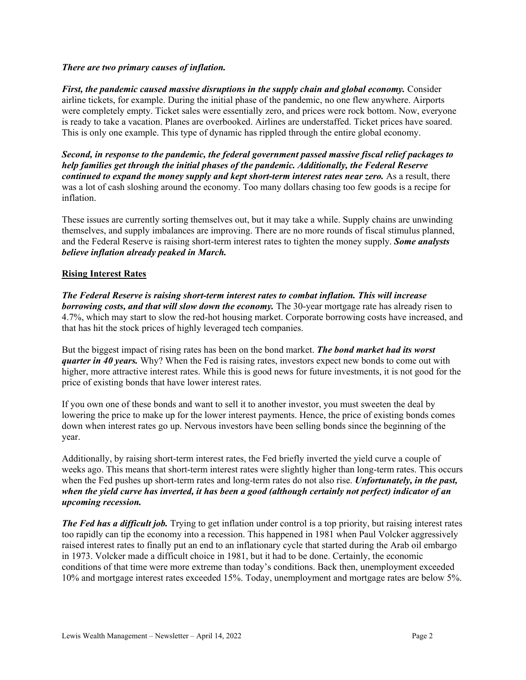#### *There are two primary causes of inflation.*

*First, the pandemic caused massive disruptions in the supply chain and global economy.* Consider airline tickets, for example. During the initial phase of the pandemic, no one flew anywhere. Airports were completely empty. Ticket sales were essentially zero, and prices were rock bottom. Now, everyone is ready to take a vacation. Planes are overbooked. Airlines are understaffed. Ticket prices have soared. This is only one example. This type of dynamic has rippled through the entire global economy.

*Second, in response to the pandemic, the federal government passed massive fiscal relief packages to help families get through the initial phases of the pandemic. Additionally, the Federal Reserve continued to expand the money supply and kept short-term interest rates near zero.* As a result, there was a lot of cash sloshing around the economy. Too many dollars chasing too few goods is a recipe for inflation.

These issues are currently sorting themselves out, but it may take a while. Supply chains are unwinding themselves, and supply imbalances are improving. There are no more rounds of fiscal stimulus planned, and the Federal Reserve is raising short-term interest rates to tighten the money supply. *Some analysts believe inflation already peaked in March.*

#### **Rising Interest Rates**

*The Federal Reserve is raising short-term interest rates to combat inflation. This will increase borrowing costs, and that will slow down the economy.* The 30-year mortgage rate has already risen to 4.7%, which may start to slow the red-hot housing market. Corporate borrowing costs have increased, and that has hit the stock prices of highly leveraged tech companies.

But the biggest impact of rising rates has been on the bond market. *The bond market had its worst quarter in 40 years.* Why? When the Fed is raising rates, investors expect new bonds to come out with higher, more attractive interest rates. While this is good news for future investments, it is not good for the price of existing bonds that have lower interest rates.

If you own one of these bonds and want to sell it to another investor, you must sweeten the deal by lowering the price to make up for the lower interest payments. Hence, the price of existing bonds comes down when interest rates go up. Nervous investors have been selling bonds since the beginning of the year.

Additionally, by raising short-term interest rates, the Fed briefly inverted the yield curve a couple of weeks ago. This means that short-term interest rates were slightly higher than long-term rates. This occurs when the Fed pushes up short-term rates and long-term rates do not also rise. *Unfortunately, in the past, when the yield curve has inverted, it has been a good (although certainly not perfect) indicator of an upcoming recession.*

*The Fed has a difficult job.* Trying to get inflation under control is a top priority, but raising interest rates too rapidly can tip the economy into a recession. This happened in 1981 when Paul Volcker aggressively raised interest rates to finally put an end to an inflationary cycle that started during the Arab oil embargo in 1973. Volcker made a difficult choice in 1981, but it had to be done. Certainly, the economic conditions of that time were more extreme than today's conditions. Back then, unemployment exceeded 10% and mortgage interest rates exceeded 15%. Today, unemployment and mortgage rates are below 5%.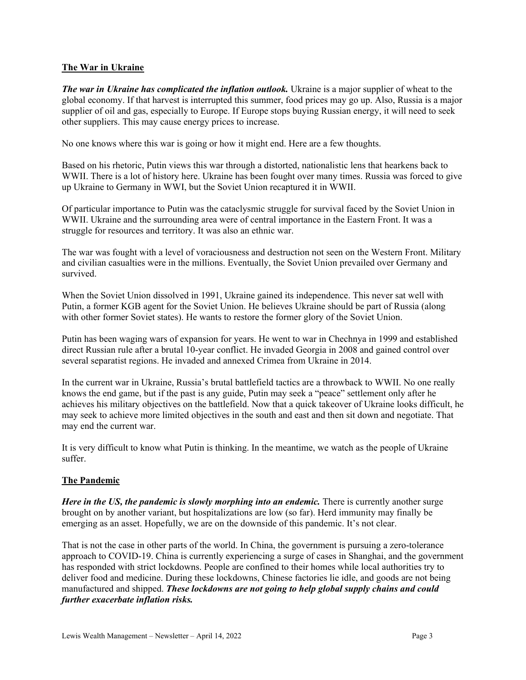## **The War in Ukraine**

*The war in Ukraine has complicated the inflation outlook.* Ukraine is a major supplier of wheat to the global economy. If that harvest is interrupted this summer, food prices may go up. Also, Russia is a major supplier of oil and gas, especially to Europe. If Europe stops buying Russian energy, it will need to seek other suppliers. This may cause energy prices to increase.

No one knows where this war is going or how it might end. Here are a few thoughts.

Based on his rhetoric, Putin views this war through a distorted, nationalistic lens that hearkens back to WWII. There is a lot of history here. Ukraine has been fought over many times. Russia was forced to give up Ukraine to Germany in WWI, but the Soviet Union recaptured it in WWII.

Of particular importance to Putin was the cataclysmic struggle for survival faced by the Soviet Union in WWII. Ukraine and the surrounding area were of central importance in the Eastern Front. It was a struggle for resources and territory. It was also an ethnic war.

The war was fought with a level of voraciousness and destruction not seen on the Western Front. Military and civilian casualties were in the millions. Eventually, the Soviet Union prevailed over Germany and survived.

When the Soviet Union dissolved in 1991, Ukraine gained its independence. This never sat well with Putin, a former KGB agent for the Soviet Union. He believes Ukraine should be part of Russia (along with other former Soviet states). He wants to restore the former glory of the Soviet Union.

Putin has been waging wars of expansion for years. He went to war in Chechnya in 1999 and established direct Russian rule after a brutal 10-year conflict. He invaded Georgia in 2008 and gained control over several separatist regions. He invaded and annexed Crimea from Ukraine in 2014.

In the current war in Ukraine, Russia's brutal battlefield tactics are a throwback to WWII. No one really knows the end game, but if the past is any guide, Putin may seek a "peace" settlement only after he achieves his military objectives on the battlefield. Now that a quick takeover of Ukraine looks difficult, he may seek to achieve more limited objectives in the south and east and then sit down and negotiate. That may end the current war.

It is very difficult to know what Putin is thinking. In the meantime, we watch as the people of Ukraine suffer.

#### **The Pandemic**

*Here in the US, the pandemic is slowly morphing into an endemic.* There is currently another surge brought on by another variant, but hospitalizations are low (so far). Herd immunity may finally be emerging as an asset. Hopefully, we are on the downside of this pandemic. It's not clear.

That is not the case in other parts of the world. In China, the government is pursuing a zero-tolerance approach to COVID-19. China is currently experiencing a surge of cases in Shanghai, and the government has responded with strict lockdowns. People are confined to their homes while local authorities try to deliver food and medicine. During these lockdowns, Chinese factories lie idle, and goods are not being manufactured and shipped. *These lockdowns are not going to help global supply chains and could further exacerbate inflation risks.*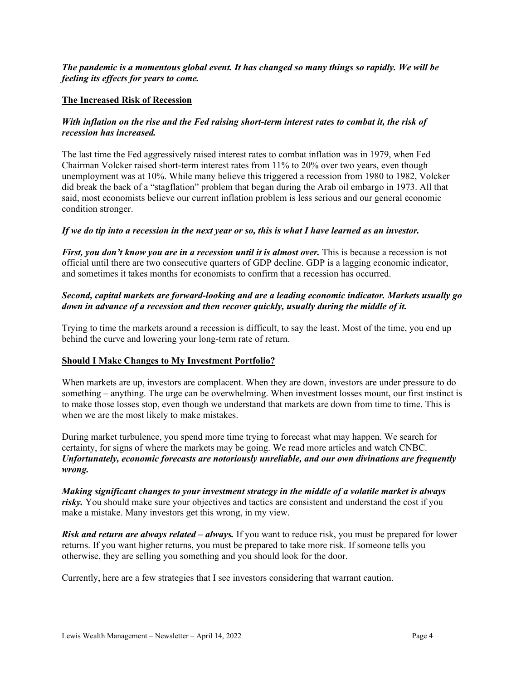## *The pandemic is a momentous global event. It has changed so many things so rapidly. We will be feeling its effects for years to come.*

#### **The Increased Risk of Recession**

#### *With inflation on the rise and the Fed raising short-term interest rates to combat it, the risk of recession has increased.*

The last time the Fed aggressively raised interest rates to combat inflation was in 1979, when Fed Chairman Volcker raised short-term interest rates from 11% to 20% over two years, even though unemployment was at 10%. While many believe this triggered a recession from 1980 to 1982, Volcker did break the back of a "stagflation" problem that began during the Arab oil embargo in 1973. All that said, most economists believe our current inflation problem is less serious and our general economic condition stronger.

#### *If we do tip into a recession in the next year or so, this is what I have learned as an investor.*

*First, you don't know you are in a recession until it is almost over.* This is because a recession is not official until there are two consecutive quarters of GDP decline. GDP is a lagging economic indicator, and sometimes it takes months for economists to confirm that a recession has occurred.

# *Second, capital markets are forward-looking and are a leading economic indicator. Markets usually go down in advance of a recession and then recover quickly, usually during the middle of it.*

Trying to time the markets around a recession is difficult, to say the least. Most of the time, you end up behind the curve and lowering your long-term rate of return.

#### **Should I Make Changes to My Investment Portfolio?**

When markets are up, investors are complacent. When they are down, investors are under pressure to do something – anything. The urge can be overwhelming. When investment losses mount, our first instinct is to make those losses stop, even though we understand that markets are down from time to time. This is when we are the most likely to make mistakes.

During market turbulence, you spend more time trying to forecast what may happen. We search for certainty, for signs of where the markets may be going. We read more articles and watch CNBC. *Unfortunately, economic forecasts are notoriously unreliable, and our own divinations are frequently wrong.*

*Making significant changes to your investment strategy in the middle of a volatile market is always risky.* You should make sure your objectives and tactics are consistent and understand the cost if you make a mistake. Many investors get this wrong, in my view.

*Risk and return are always related – always.* If you want to reduce risk, you must be prepared for lower returns. If you want higher returns, you must be prepared to take more risk. If someone tells you otherwise, they are selling you something and you should look for the door.

Currently, here are a few strategies that I see investors considering that warrant caution.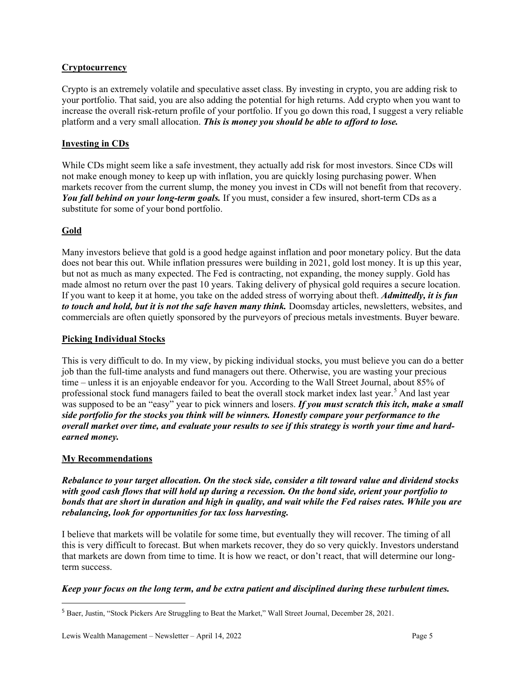# **Cryptocurrency**

Crypto is an extremely volatile and speculative asset class. By investing in crypto, you are adding risk to your portfolio. That said, you are also adding the potential for high returns. Add crypto when you want to increase the overall risk-return profile of your portfolio. If you go down this road, I suggest a very reliable platform and a very small allocation. *This is money you should be able to afford to lose.*

# **Investing in CDs**

While CDs might seem like a safe investment, they actually add risk for most investors. Since CDs will not make enough money to keep up with inflation, you are quickly losing purchasing power. When markets recover from the current slump, the money you invest in CDs will not benefit from that recovery. *You fall behind on your long-term goals.* If you must, consider a few insured, short-term CDs as a substitute for some of your bond portfolio.

# **Gold**

Many investors believe that gold is a good hedge against inflation and poor monetary policy. But the data does not bear this out. While inflation pressures were building in 2021, gold lost money. It is up this year, but not as much as many expected. The Fed is contracting, not expanding, the money supply. Gold has made almost no return over the past 10 years. Taking delivery of physical gold requires a secure location. If you want to keep it at home, you take on the added stress of worrying about theft. *Admittedly, it is fun to touch and hold, but it is not the safe haven many think.* Doomsday articles, newsletters, websites, and commercials are often quietly sponsored by the purveyors of precious metals investments. Buyer beware.

#### **Picking Individual Stocks**

This is very difficult to do. In my view, by picking individual stocks, you must believe you can do a better job than the full-time analysts and fund managers out there. Otherwise, you are wasting your precious time – unless it is an enjoyable endeavor for you. According to the Wall Street Journal, about 85% of professional stock fund managers failed to beat the overall stock market index last year.<sup>[5](#page-4-0)</sup> And last year was supposed to be an "easy" year to pick winners and losers. *If you must scratch this itch, make a small side portfolio for the stocks you think will be winners. Honestly compare your performance to the overall market over time, and evaluate your results to see if this strategy is worth your time and hardearned money.*

#### **My Recommendations**

*Rebalance to your target allocation. On the stock side, consider a tilt toward value and dividend stocks with good cash flows that will hold up during a recession. On the bond side, orient your portfolio to bonds that are short in duration and high in quality, and wait while the Fed raises rates. While you are rebalancing, look for opportunities for tax loss harvesting.*

I believe that markets will be volatile for some time, but eventually they will recover. The timing of all this is very difficult to forecast. But when markets recover, they do so very quickly. Investors understand that markets are down from time to time. It is how we react, or don't react, that will determine our longterm success.

#### *Keep your focus on the long term, and be extra patient and disciplined during these turbulent times.*

<span id="page-4-0"></span><sup>5</sup> Baer, Justin, "Stock Pickers Are Struggling to Beat the Market," Wall Street Journal, December 28, 2021.